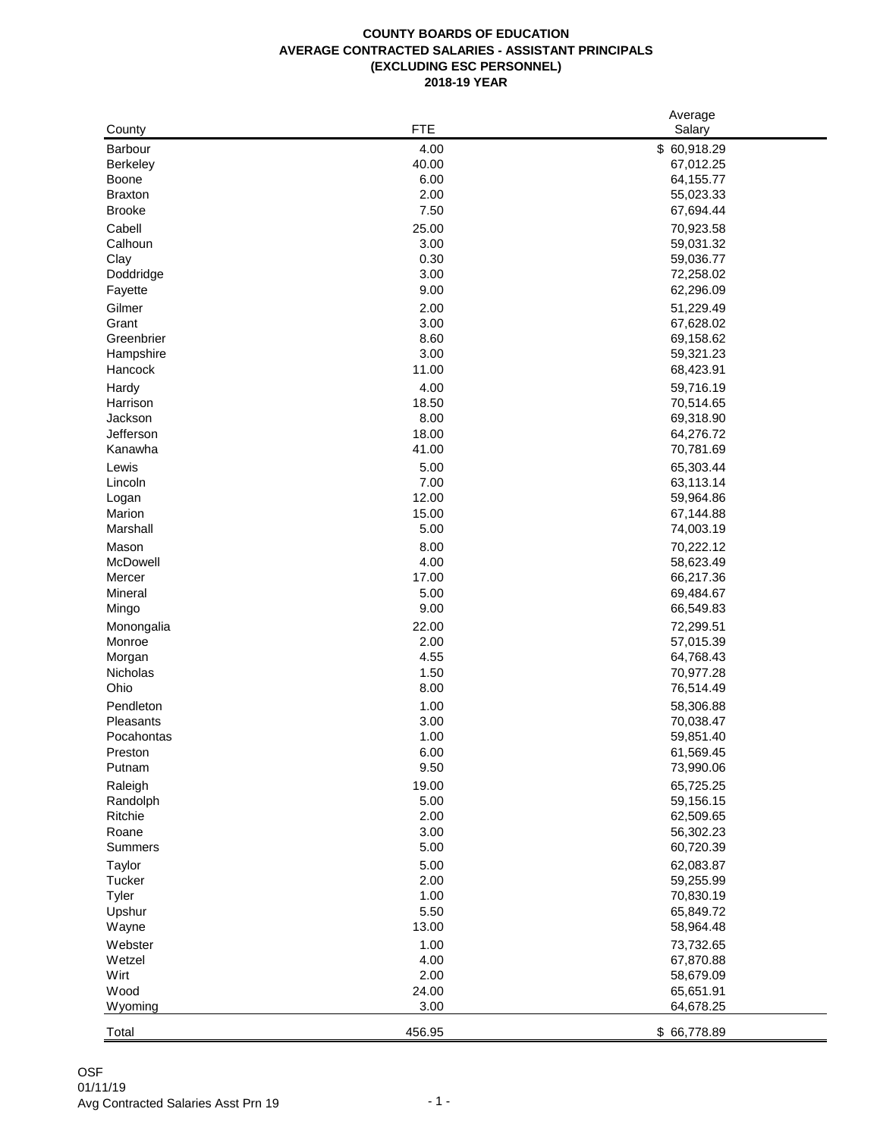## **AVERAGE CONTRACTED SALARIES - ASSISTANT PRINCIPALS COUNTY BOARDS OF EDUCATION (EXCLUDING ESC PERSONNEL) 2018-19 YEAR**

|                  |        | Average                |
|------------------|--------|------------------------|
| County           | FTE    | Salary                 |
| Barbour          | 4.00   | \$60,918.29            |
| <b>Berkeley</b>  | 40.00  | 67,012.25              |
| Boone            | 6.00   | 64,155.77              |
| <b>Braxton</b>   | 2.00   | 55,023.33              |
| <b>Brooke</b>    | 7.50   | 67,694.44              |
| Cabell           | 25.00  | 70,923.58              |
| Calhoun          | 3.00   | 59,031.32              |
| Clay             | 0.30   | 59,036.77              |
| Doddridge        | 3.00   | 72,258.02              |
| Fayette          | 9.00   | 62,296.09              |
| Gilmer           | 2.00   | 51,229.49              |
| Grant            | 3.00   | 67,628.02              |
| Greenbrier       | 8.60   | 69,158.62              |
| Hampshire        | 3.00   | 59,321.23              |
| Hancock          | 11.00  | 68,423.91              |
|                  |        |                        |
| Hardy            | 4.00   | 59,716.19              |
| Harrison         | 18.50  | 70,514.65              |
| Jackson          | 8.00   | 69,318.90              |
| Jefferson        | 18.00  | 64,276.72              |
| Kanawha          | 41.00  | 70,781.69              |
| Lewis            | 5.00   | 65,303.44              |
| Lincoln          | 7.00   | 63,113.14              |
| Logan            | 12.00  | 59,964.86              |
| Marion           | 15.00  | 67,144.88              |
| Marshall         | 5.00   | 74,003.19              |
| Mason            | 8.00   | 70,222.12              |
| McDowell         | 4.00   | 58,623.49              |
| Mercer           | 17.00  | 66,217.36              |
| Mineral          | 5.00   | 69,484.67              |
| Mingo            | 9.00   | 66,549.83              |
| Monongalia       | 22.00  | 72,299.51              |
| Monroe           | 2.00   | 57,015.39              |
| Morgan           | 4.55   | 64,768.43              |
| Nicholas         | 1.50   | 70,977.28              |
| Ohio             | 8.00   | 76,514.49              |
| Pendleton        | 1.00   | 58,306.88              |
| Pleasants        | 3.00   | 70,038.47              |
| Pocahontas       | 1.00   | 59,851.40              |
| Preston          | 6.00   | 61,569.45              |
| Putnam           | 9.50   | 73,990.06              |
| Raleigh          | 19.00  | 65,725.25              |
| Randolph         | 5.00   | 59,156.15              |
| Ritchie          | 2.00   | 62,509.65              |
| Roane            | 3.00   | 56,302.23              |
| Summers          | 5.00   | 60,720.39              |
|                  | 5.00   | 62,083.87              |
| Taylor<br>Tucker | 2.00   |                        |
| Tyler            | 1.00   | 59,255.99<br>70,830.19 |
| Upshur           | 5.50   |                        |
|                  | 13.00  | 65,849.72<br>58,964.48 |
| Wayne            |        |                        |
| Webster          | 1.00   | 73,732.65              |
| Wetzel           | 4.00   | 67,870.88              |
| Wirt             | 2.00   | 58,679.09              |
| Wood             | 24.00  | 65,651.91              |
| Wyoming          | 3.00   | 64,678.25              |
| Total            | 456.95 | \$66,778.89            |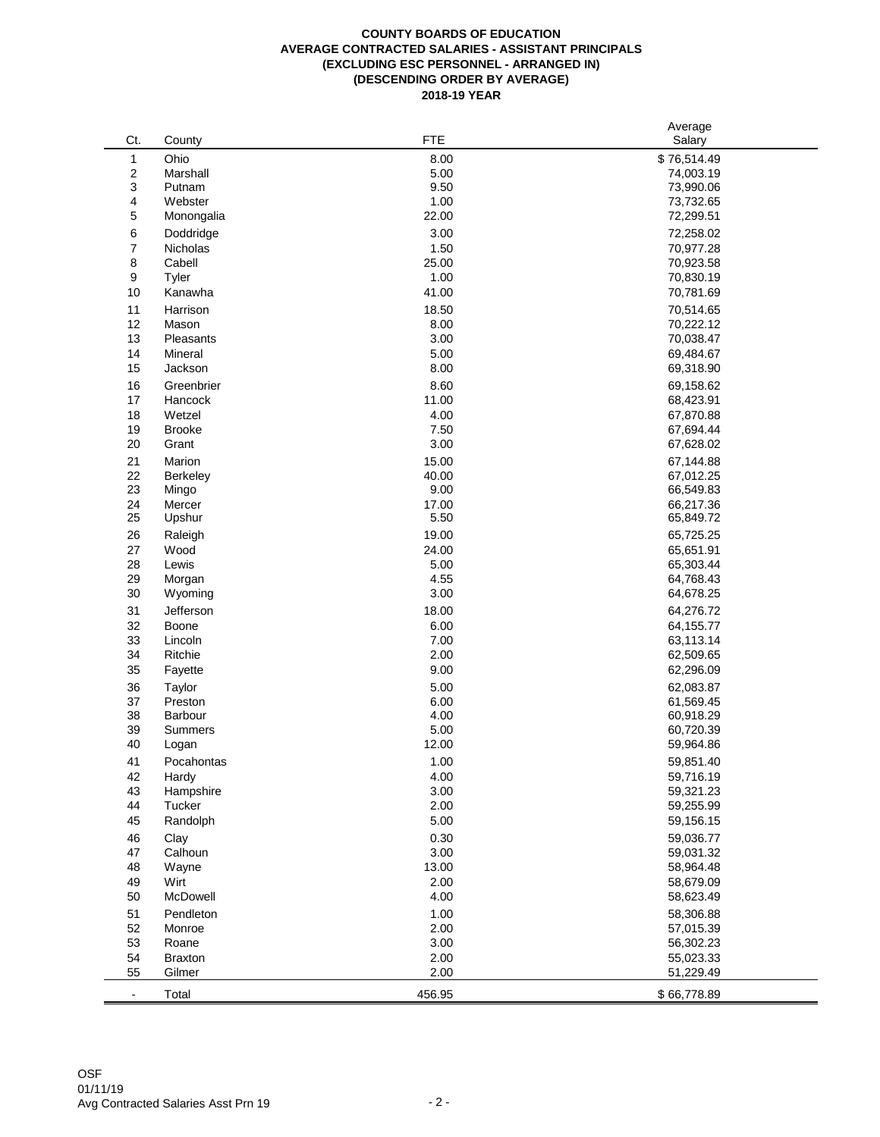## **COUNTY BOARDS OF EDUCATION AVERAGE CONTRACTED SALARIES - ASSISTANT PRINCIPALS (EXCLUDING ESC PERSONNEL - ARRANGED IN) (DESCENDING ORDER BY AVERAGE) 2018-19 YEAR**

|                          |                 |            | Average     |
|--------------------------|-----------------|------------|-------------|
| Ct.                      | County          | <b>FTE</b> | Salary      |
| $\mathbf{1}$             | Ohio            | 8.00       | \$76,514.49 |
| $\overline{c}$           | Marshall        | 5.00       | 74,003.19   |
| 3                        | Putnam          | 9.50       | 73,990.06   |
| 4                        | Webster         | 1.00       | 73,732.65   |
| 5                        | Monongalia      | 22.00      | 72,299.51   |
| 6                        | Doddridge       | 3.00       | 72,258.02   |
| $\overline{7}$           | <b>Nicholas</b> | 1.50       | 70,977.28   |
| 8                        | Cabell          | 25.00      | 70,923.58   |
| 9                        | Tyler           | 1.00       | 70,830.19   |
| 10                       | Kanawha         | 41.00      | 70,781.69   |
| 11                       | Harrison        | 18.50      | 70,514.65   |
| 12                       | Mason           | 8.00       | 70,222.12   |
| 13                       | Pleasants       | 3.00       | 70,038.47   |
| 14                       | Mineral         | 5.00       | 69,484.67   |
| 15                       | Jackson         | 8.00       | 69,318.90   |
| 16                       | Greenbrier      | 8.60       | 69,158.62   |
| 17                       | Hancock         | 11.00      | 68,423.91   |
|                          |                 |            |             |
| 18                       | Wetzel          | 4.00       | 67,870.88   |
| 19                       | <b>Brooke</b>   | 7.50       | 67,694.44   |
| 20                       | Grant           | 3.00       | 67,628.02   |
| 21                       | Marion          | 15.00      | 67,144.88   |
| 22                       | Berkeley        | 40.00      | 67,012.25   |
| 23                       | Mingo           | 9.00       | 66,549.83   |
| 24                       | Mercer          | 17.00      | 66,217.36   |
| 25                       | Upshur          | 5.50       | 65,849.72   |
| 26                       | Raleigh         | 19.00      | 65,725.25   |
| 27                       | Wood            | 24.00      | 65,651.91   |
| 28                       | Lewis           | 5.00       | 65,303.44   |
| 29                       | Morgan          | 4.55       | 64,768.43   |
| 30                       | Wyoming         | 3.00       | 64,678.25   |
| 31                       | Jefferson       | 18.00      | 64,276.72   |
| 32                       | Boone           | 6.00       | 64,155.77   |
| 33                       | Lincoln         | 7.00       | 63,113.14   |
| 34                       | Ritchie         | 2.00       | 62,509.65   |
| 35                       | Fayette         | 9.00       | 62,296.09   |
| 36                       | Taylor          | 5.00       | 62,083.87   |
| 37                       | Preston         | 6.00       | 61,569.45   |
| 38                       | Barbour         | 4.00       | 60,918.29   |
| 39                       | Summers         | 5.00       | 60,720.39   |
| 40                       | Logan           | 12.00      | 59,964.86   |
| 41                       | Pocahontas      | 1.00       | 59,851.40   |
| 42                       | Hardy           | 4.00       | 59,716.19   |
| 43                       | Hampshire       | $3.00\,$   | 59,321.23   |
| 44                       | Tucker          | 2.00       | 59,255.99   |
| 45                       | Randolph        | 5.00       | 59,156.15   |
| 46                       | Clay            | 0.30       | 59,036.77   |
| 47                       | Calhoun         | 3.00       | 59,031.32   |
| 48                       | Wayne           | 13.00      | 58,964.48   |
| 49                       | Wirt            | 2.00       | 58,679.09   |
| 50                       | McDowell        | 4.00       | 58,623.49   |
| 51                       | Pendleton       | 1.00       | 58,306.88   |
| 52                       | Monroe          | 2.00       | 57,015.39   |
| 53                       | Roane           | 3.00       | 56,302.23   |
| 54                       | <b>Braxton</b>  | 2.00       | 55,023.33   |
| 55                       | Gilmer          | 2.00       | 51,229.49   |
| $\overline{\phantom{a}}$ | Total           | 456.95     | \$66,778.89 |
|                          |                 |            |             |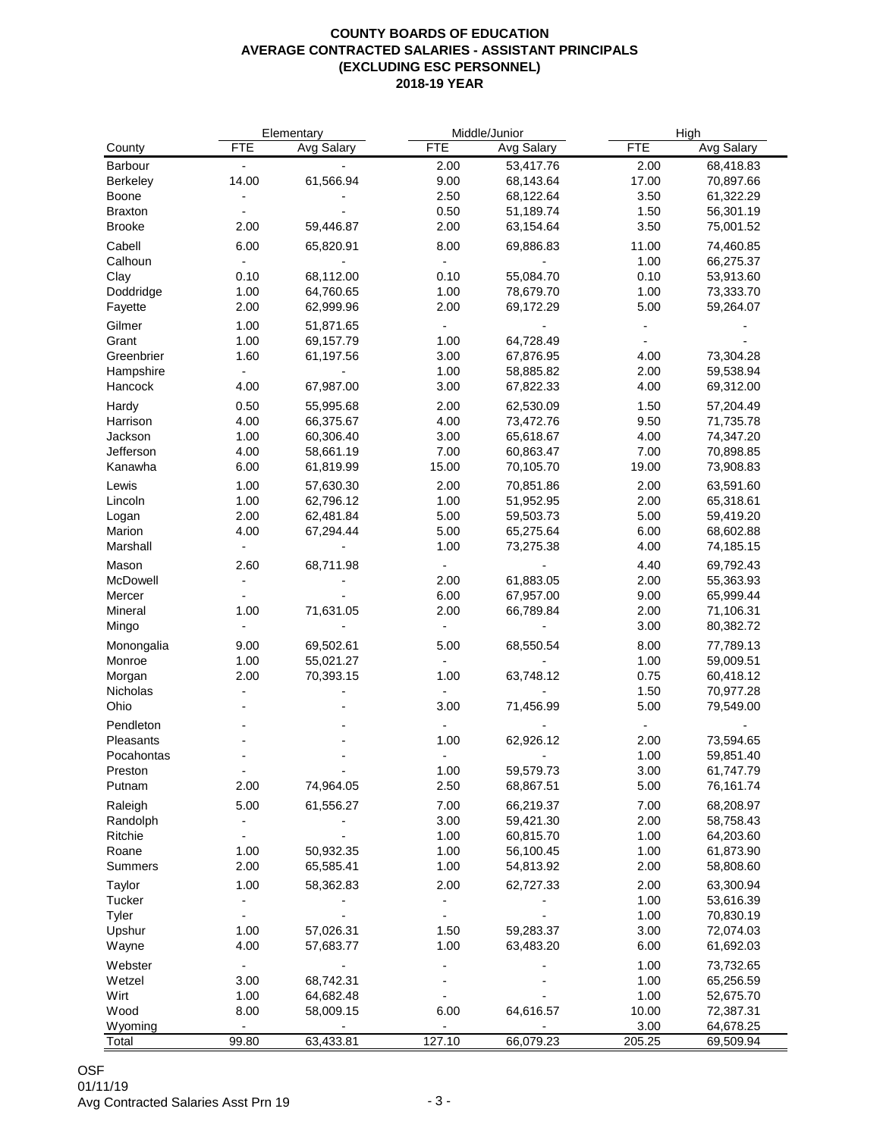## **COUNTY BOARDS OF EDUCATION AVERAGE CONTRACTED SALARIES - ASSISTANT PRINCIPALS (EXCLUDING ESC PERSONNEL) 2018-19 YEAR**

|                 |                          | Elementary                   | Middle/Junior            |                          | High         |                          |
|-----------------|--------------------------|------------------------------|--------------------------|--------------------------|--------------|--------------------------|
| County          | <b>FTE</b>               | Avg Salary                   | <b>FTE</b>               | Avg Salary               | <b>FTE</b>   | Avg Salary               |
| Barbour         | $\overline{\phantom{a}}$ |                              | 2.00                     | 53,417.76                | 2.00         | 68,418.83                |
| Berkeley        | 14.00                    | 61,566.94                    | 9.00                     | 68,143.64                | 17.00        | 70,897.66                |
| Boone           | $\overline{a}$           |                              | 2.50                     | 68,122.64                | 3.50         | 61,322.29                |
| <b>Braxton</b>  |                          |                              | 0.50                     | 51,189.74                | 1.50         | 56,301.19                |
| <b>Brooke</b>   | 2.00                     | 59,446.87                    | 2.00                     | 63,154.64                | 3.50         | 75,001.52                |
| Cabell          | 6.00                     | 65,820.91                    | 8.00                     | 69,886.83                | 11.00        | 74,460.85                |
| Calhoun         | $\blacksquare$           | $\blacksquare$               | $\overline{\phantom{a}}$ | $\blacksquare$           | 1.00         | 66,275.37                |
| Clay            | 0.10                     | 68,112.00                    | 0.10                     | 55,084.70                | 0.10         | 53,913.60                |
| Doddridge       | 1.00                     | 64,760.65                    | 1.00                     | 78,679.70                | 1.00         | 73,333.70                |
| Fayette         | 2.00                     | 62,999.96                    | 2.00                     | 69,172.29                | 5.00         | 59,264.07                |
| Gilmer          | 1.00                     | 51,871.65                    |                          |                          |              |                          |
| Grant           | 1.00                     | 69,157.79                    | 1.00                     | 64,728.49                |              |                          |
| Greenbrier      | 1.60                     | 61,197.56                    | 3.00                     | 67,876.95                | 4.00         | 73,304.28                |
| Hampshire       | $\blacksquare$           | $\qquad \qquad \blacksquare$ | 1.00                     | 58,885.82                | 2.00         | 59,538.94                |
| Hancock         | 4.00                     | 67,987.00                    | 3.00                     | 67,822.33                | 4.00         | 69,312.00                |
| Hardy           | 0.50                     | 55,995.68                    | 2.00                     | 62,530.09                | 1.50         | 57,204.49                |
| Harrison        | 4.00                     | 66,375.67                    | 4.00                     | 73,472.76                | 9.50         | 71,735.78                |
| Jackson         | 1.00                     | 60,306.40                    | 3.00                     | 65,618.67                | 4.00         | 74,347.20                |
| Jefferson       | 4.00                     | 58,661.19                    | 7.00                     | 60,863.47                | 7.00         | 70,898.85                |
| Kanawha         | 6.00                     | 61,819.99                    | 15.00                    | 70,105.70                | 19.00        | 73,908.83                |
|                 |                          |                              |                          |                          |              |                          |
| Lewis           | 1.00                     | 57,630.30                    | 2.00                     | 70,851.86<br>51,952.95   | 2.00         | 63,591.60                |
| Lincoln         | 1.00                     | 62,796.12                    | 1.00                     |                          | 2.00         | 65,318.61                |
| Logan<br>Marion | 2.00<br>4.00             | 62,481.84                    | 5.00<br>5.00             | 59,503.73<br>65,275.64   | 5.00<br>6.00 | 59,419.20                |
| Marshall        | $\blacksquare$           | 67,294.44                    | 1.00                     | 73,275.38                | 4.00         | 68,602.88<br>74,185.15   |
|                 |                          |                              |                          |                          |              |                          |
| Mason           | 2.60                     | 68,711.98                    |                          |                          | 4.40         | 69,792.43                |
| McDowell        |                          |                              | 2.00                     | 61,883.05                | 2.00         | 55,363.93                |
| Mercer          | $\overline{\phantom{a}}$ |                              | 6.00                     | 67,957.00                | 9.00         | 65,999.44                |
| Mineral         | 1.00                     | 71,631.05                    | 2.00                     | 66,789.84                | 2.00         | 71,106.31                |
| Mingo           |                          |                              | ۰                        |                          | 3.00         | 80,382.72                |
| Monongalia      | 9.00                     | 69,502.61                    | 5.00                     | 68,550.54                | 8.00         | 77,789.13                |
| Monroe          | 1.00                     | 55,021.27                    | $\overline{\phantom{a}}$ |                          | 1.00         | 59,009.51                |
| Morgan          | 2.00                     | 70,393.15                    | 1.00                     | 63,748.12                | 0.75         | 60,418.12                |
| Nicholas        | $\overline{\phantom{a}}$ |                              | $\overline{\phantom{a}}$ | $\overline{\phantom{a}}$ | 1.50         | 70,977.28                |
| Ohio            |                          |                              | 3.00                     | 71,456.99                | 5.00         | 79,549.00                |
| Pendleton       |                          |                              |                          |                          |              | $\overline{\phantom{a}}$ |
| Pleasants       |                          |                              | 1.00                     | 62,926.12                | 2.00         | 73,594.65                |
| Pocahontas      |                          |                              |                          |                          | 1.00         | 59,851.40                |
| Preston         |                          |                              | 1.00                     | 59,579.73                | 3.00         | 61,747.79                |
| Putnam          | 2.00                     | 74,964.05                    | 2.50                     | 68,867.51                | 5.00         | 76,161.74                |
| Raleigh         | 5.00                     | 61,556.27                    | 7.00                     | 66,219.37                | 7.00         | 68,208.97                |
| Randolph        | $\overline{\phantom{a}}$ |                              | 3.00                     | 59,421.30                | 2.00         | 58,758.43                |
| Ritchie         | $\overline{\phantom{a}}$ |                              | 1.00                     | 60,815.70                | 1.00         | 64,203.60                |
| Roane           | 1.00                     | 50,932.35                    | 1.00                     | 56,100.45                | 1.00         | 61,873.90                |
| Summers         | 2.00                     | 65,585.41                    | 1.00                     | 54,813.92                | 2.00         | 58,808.60                |
| Taylor          | 1.00                     | 58,362.83                    | 2.00                     | 62,727.33                | 2.00         | 63,300.94                |
| Tucker          |                          |                              |                          |                          | 1.00         | 53,616.39                |
| Tyler           | $\blacksquare$           |                              |                          |                          | 1.00         | 70,830.19                |
| Upshur          | 1.00                     | 57,026.31                    | 1.50                     | 59,283.37                | 3.00         | 72,074.03                |
| Wayne           | 4.00                     | 57,683.77                    | 1.00                     | 63,483.20                | 6.00         | 61,692.03                |
| Webster         | $\blacksquare$           |                              |                          |                          | 1.00         | 73,732.65                |
| Wetzel          | 3.00                     | 68,742.31                    |                          |                          | 1.00         | 65,256.59                |
| Wirt            | 1.00                     | 64,682.48                    |                          |                          | 1.00         | 52,675.70                |
| Wood            | 8.00                     | 58,009.15                    | 6.00                     | 64,616.57                | 10.00        | 72,387.31                |
| Wyoming         | $\blacksquare$           | $\frac{1}{2}$                |                          |                          | 3.00         | 64,678.25                |
| Total           | 99.80                    | 63,433.81                    | 127.10                   | 66,079.23                | 205.25       | 69,509.94                |